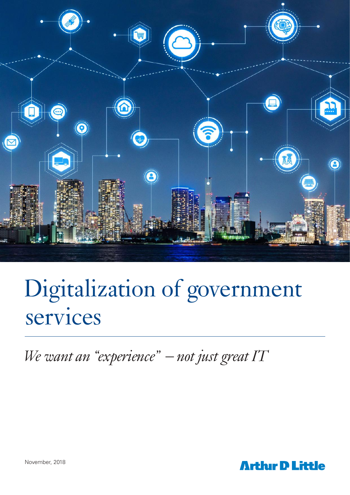

# Digitalization of government services

*We want an "experience" – not just great IT* 

November, 2018

**Arthir D Little**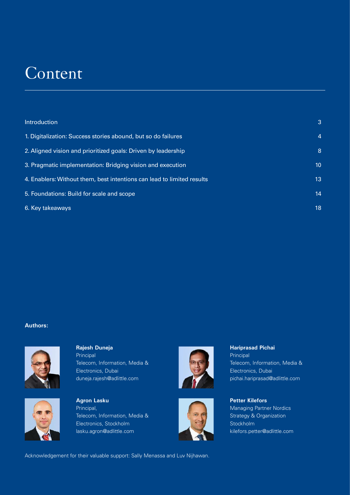## **Content**

| <b>Introduction</b>                                                    | 3              |
|------------------------------------------------------------------------|----------------|
| 1. Digitalization: Success stories abound, but so do failures          | $\overline{4}$ |
| 2. Aligned vision and prioritized goals: Driven by leadership          | 8              |
| 3. Pragmatic implementation: Bridging vision and execution             | 10             |
| 4. Enablers: Without them, best intentions can lead to limited results | 13             |
| 5. Foundations: Build for scale and scope                              | 14             |
| 6. Key takeaways                                                       | 18             |

### **Authors:**







**Agron Lasku** Principal, Telecom, Information, Media & Electronics, Stockholm lasku.agron@adlittle.com





**Hariprasad Pichai** Principal Telecom, Information, Media & Electronics, Dubai pichai.hariprasad@adlittle.com

**Petter Kilefors** Managing Partner Nordics Strategy & Organization Stockholm kilefors.petter@adlittle.com

Acknowledgement for their valuable support: Sally Menassa and Luv Nijhawan.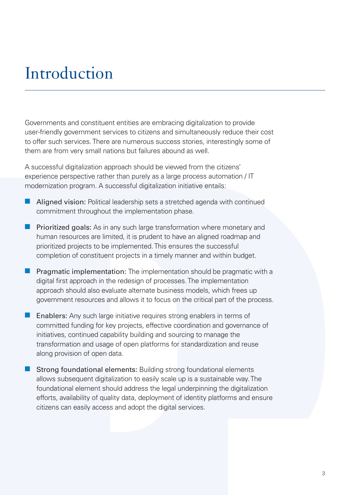## Introduction

Governments and constituent entities are embracing digitalization to provide user-friendly government services to citizens and simultaneously reduce their cost to offer such services. There are numerous success stories, interestingly some of them are from very small nations but failures abound as well.

A successful digitalization approach should be viewed from the citizens' experience perspective rather than purely as a large process automation / IT modernization program. A successful digitalization initiative entails:

- $\blacksquare$  Aligned vision: Political leadership sets a stretched agenda with continued commitment throughout the implementation phase.
- **Prioritized goals:** As in any such large transformation where monetary and human resources are limited, it is prudent to have an aligned roadmap and prioritized projects to be implemented. This ensures the successful completion of constituent projects in a timely manner and within budget.
- **Pragmatic implementation:** The implementation should be pragmatic with a digital first approach in the redesign of processes. The implementation approach should also evaluate alternate business models, which frees up government resources and allows it to focus on the critical part of the process.
- **Enablers:** Any such large initiative requires strong enablers in terms of committed funding for key projects, effective coordination and governance of initiatives, continued capability building and sourcing to manage the transformation and usage of open platforms for standardization and reuse along provision of open data.
- $\blacksquare$  Strong foundational elements: Building strong foundational elements allows subsequent digitalization to easily scale up is a sustainable way. The foundational element should address the legal underpinning the digitalization efforts, availability of quality data, deployment of identity platforms and ensure citizens can easily access and adopt the digital services.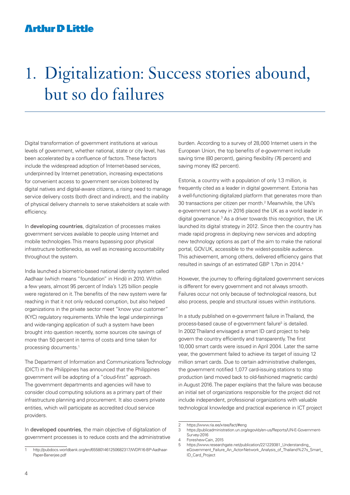# 1. Digitalization: Success stories abound, but so do failures

Digital transformation of government institutions at various levels of government, whether national, state or city level, has been accelerated by a confluence of factors. These factors include the widespread adoption of Internet-based services, underpinned by Internet penetration, increasing expectations for convenient access to government services bolstered by digital natives and digital-aware citizens, a rising need to manage service delivery costs (both direct and indirect), and the inability of physical delivery channels to serve stakeholders at scale with efficiency.

In developing countries, digitalization of processes makes government services available to people using Internet and mobile technologies. This means bypassing poor physical infrastructure bottlenecks, as well as increasing accountability throughout the system.

India launched a biometric-based national identity system called Aadhaar (which means "foundation" in Hindi) in 2010. Within a few years, almost 95 percent of India's 1.25 billion people were registered on it. The benefits of the new system were far reaching in that it not only reduced corruption, but also helped organizations in the private sector meet "know your customer" (KYC) regulatory requirements. While the legal underpinnings and wide-ranging application of such a system have been brought into question recently, some sources cite savings of more than 50 percent in terms of costs and time taken for processing documents.<sup>1</sup>

The Department of Information and Communications Technology (DICT) in the Philippines has announced that the Philippines government will be adopting of a "cloud-first" approach. The government departments and agencies will have to consider cloud computing solutions as a primary part of their infrastructure planning and procurement. It also covers private entities, which will participate as accredited cloud service providers.

In developed countries, the main objective of digitalization of government processes is to reduce costs and the administrative burden. According to a survey of 28,000 Internet users in the European Union, the top benefits of e-government include saving time (80 percent), gaining flexibility (76 percent) and saving money (62 percent).

Estonia, a country with a population of only 1.3 million, is frequently cited as a leader in digital government. Estonia has a well-functioning digitalized platform that generates more than 30 transactions per citizen per month.<sup>2</sup> Meanwhile, the UN's e-government survey in 2016 placed the UK as a world leader in digital governance.<sup>3</sup> As a driver towards this recognition, the UK launched its digital strategy in 2012. Since then the country has made rapid progress in deploying new services and adopting new technology options as part of the aim to make the national portal, GOV.UK, accessible to the widest-possible audience. This achievement, among others, delivered efficiency gains that resulted in savings of an estimated GBP 1.7bn in 2014.4

However, the journey to offering digitalized government services is different for every government and not always smooth. Failures occur not only because of technological reasons, but also process, people and structural issues within institutions.

In a study published on e-government failure in Thailand, the process-based cause of e-government failure<sup>5</sup> is detailed. In 2002 Thailand envisaged a smart ID card project to help govern the country efficiently and transparently. The first 10,000 smart cards were issued in April 2004. Later the same year, the government failed to achieve its target of issuing 12 million smart cards. Due to certain administrative challenges, the government notified 1,077 card-issuing stations to stop production (and moved back to old-fashioned magnetic cards) in August 2016. The paper explains that the failure was because an initial set of organizations responsible for the project did not include independent, professional organizations with valuable technological knowledge and practical experience in ICT project

<sup>1</sup> http://pubdocs.worldbank.org/en/655801461250682317/WDR16-BP-Aadhaar-Paper-Banerjee.pdf

<sup>2</sup> https://www.ria.ee/x-tee/fact/#eng

<sup>3</sup> https://publicadministration.un.org/egovkb/en-us/Reports/UN-E-Government-Survey-2016

<sup>4</sup> Foreshew-Cain, 2015

<sup>5</sup> https://www.researchgate.net/publication/221229381\_Understanding\_ eGovernment\_Failure\_An\_Actor-Network\_Analysis\_of\_Thailand%27s\_Smart\_ ID\_Card\_Project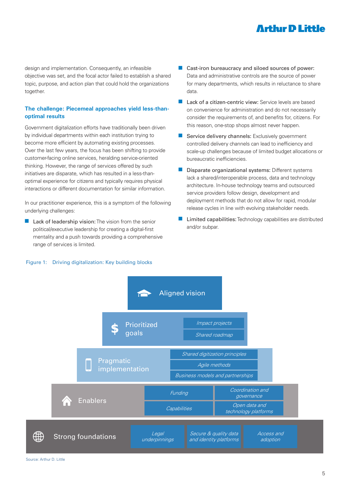design and implementation. Consequently, an infeasible objective was set, and the focal actor failed to establish a shared topic, purpose, and action plan that could hold the organizations together.

### **The challenge: Piecemeal approaches yield less-thanoptimal results**

Government digitalization efforts have traditionally been driven by individual departments within each institution trying to become more efficient by automating existing processes. Over the last few years, the focus has been shifting to provide customer-facing online services, heralding service-oriented thinking. However, the range of services offered by such initiatives are disparate, which has resulted in a less-thanoptimal experience for citizens and typically requires physical interactions or different documentation for similar information.

In our practitioner experience, this is a symptom of the following underlying challenges:

 $\blacksquare$  Lack of leadership vision: The vision from the senior political/executive leadership for creating a digital-first mentality and a push towards providing a comprehensive range of services is limited.

#### Figure 1: Driving digitalization: Key building blocks

- $\blacksquare$  Cast-iron bureaucracy and siloed sources of power: Data and administrative controls are the source of power for many departments, which results in reluctance to share data.
- $\blacksquare$  Lack of a citizen-centric view: Service levels are based on convenience for administration and do not necessarily consider the requirements of, and benefits for, citizens. For this reason, one-stop shops almost never happen.
- $\blacksquare$  Service delivery channels: Exclusively government controlled delivery channels can lead to inefficiency and scale-up challenges because of limited budget allocations or bureaucratic inefficiencies.
- $\blacksquare$  Disparate organizational systems: Different systems lack a shared/interoperable process, data and technology architecture. In-house technology teams and outsourced service providers follow design, development and deployment methods that do not allow for rapid, modular release cycles in line with evolving stakeholder needs.
- $\blacksquare$  Limited capabilities: Technology capabilities are distributed and/or subpar.

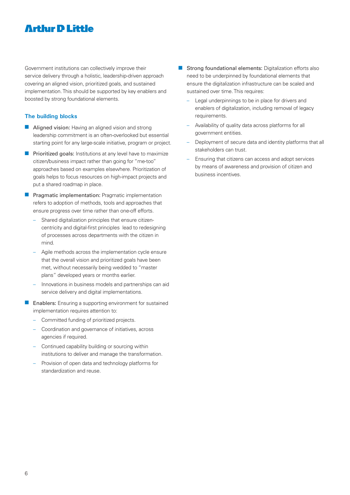Government institutions can collectively improve their service delivery through a holistic, leadership-driven approach covering an aligned vision, prioritized goals, and sustained implementation. This should be supported by key enablers and boosted by strong foundational elements.

### **The building blocks**

- $\blacksquare$  Aligned vision: Having an aligned vision and strong leadership commitment is an often-overlooked but essential starting point for any large-scale initiative, program or project.
- **Prioritized goals:** Institutions at any level have to maximize citizen/business impact rather than going for "me-too" approaches based on examples elsewhere. Prioritization of goals helps to focus resources on high-impact projects and put a shared roadmap in place.
- **Pragmatic implementation:** Pragmatic implementation refers to adoption of methods, tools and approaches that ensure progress over time rather than one-off efforts.
	- Shared digitalization principles that ensure citizencentricity and digital-first principles lead to redesigning of processes across departments with the citizen in mind.
	- Agile methods across the implementation cycle ensure that the overall vision and prioritized goals have been met, without necessarily being wedded to "master plans" developed years or months earlier.
	- Innovations in business models and partnerships can aid service delivery and digital implementations.
- **Enablers:** Ensuring a supporting environment for sustained implementation requires attention to:
	- Committed funding of prioritized projects.
	- Coordination and governance of initiatives, across agencies if required.
	- Continued capability building or sourcing within institutions to deliver and manage the transformation.
	- Provision of open data and technology platforms for standardization and reuse.
- **n** Strong foundational elements: Digitalization efforts also need to be underpinned by foundational elements that ensure the digitalization infrastructure can be scaled and sustained over time. This requires:
	- Legal underpinnings to be in place for drivers and enablers of digitalization, including removal of legacy requirements.
	- Availability of quality data across platforms for all government entities.
	- Deployment of secure data and identity platforms that all stakeholders can trust.
	- Ensuring that citizens can access and adopt services by means of awareness and provision of citizen and business incentives.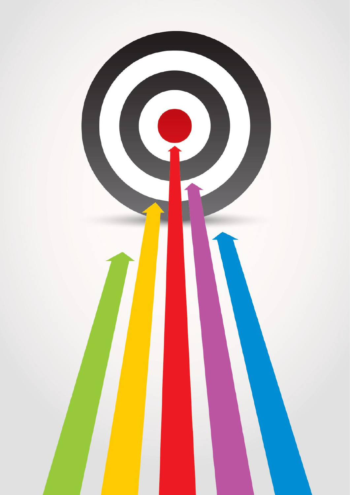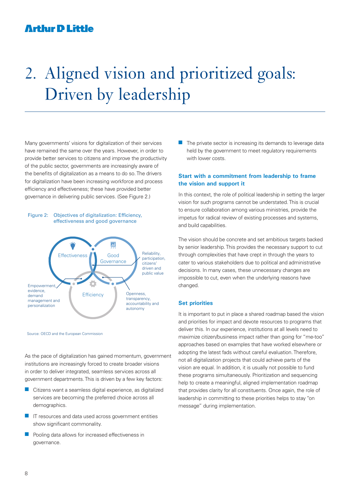# 2. Aligned vision and prioritized goals: Driven by leadership

Many governments' visions for digitalization of their services have remained the same over the years. However, in order to provide better services to citizens and improve the productivity of the public sector, governments are increasingly aware of the benefits of digitalization as a means to do so. The drivers for digitalization have been increasing workforce and process efficiency and effectiveness; these have provided better governance in delivering public services. (See Figure 2.)





Source: OECD and the European Commission

As the pace of digitalization has gained momentum, government institutions are increasingly forced to create broader visions in order to deliver integrated, seamless services across all government departments. This is driven by a few key factors:

- $\blacksquare$  Citizens want a seamless digital experience, as digitalized services are becoming the preferred choice across all demographics.
- $\blacksquare$  IT resources and data used across government entities show significant commonality.
- $\blacksquare$  Pooling data allows for increased effectiveness in governance.

 $\blacksquare$  The private sector is increasing its demands to leverage data held by the government to meet regulatory requirements with lower costs.

### **Start with a commitment from leadership to frame the vision and support it**

In this context, the role of political leadership in setting the larger vision for such programs cannot be understated. This is crucial to ensure collaboration among various ministries, provide the impetus for radical review of existing processes and systems, and build capabilities.

The vision should be concrete and set ambitious targets backed by senior leadership. This provides the necessary support to cut through complexities that have crept in through the years to cater to various stakeholders due to political and administrative decisions. In many cases, these unnecessary changes are impossible to cut, even when the underlying reasons have changed.

### **Set priorities**

It is important to put in place a shared roadmap based the vision and priorities for impact and devote resources to programs that deliver this. In our experience, institutions at all levels need to maximize citizen/business impact rather than going for "me-too" approaches based on examples that have worked elsewhere or adopting the latest fads without careful evaluation. Therefore, not all digitalization projects that could achieve parts of the vision are equal. In addition, it is usually not possible to fund these programs simultaneously. Prioritization and sequencing help to create a meaningful, aligned implementation roadmap that provides clarity for all constituents. Once again, the role of leadership in committing to these priorities helps to stay "on message" during implementation.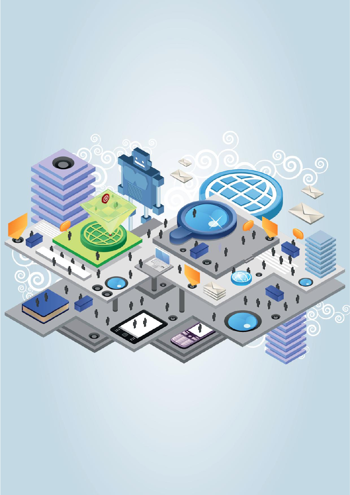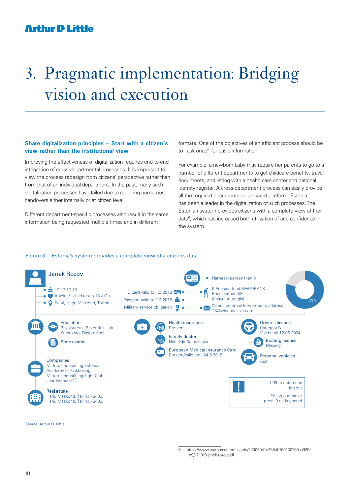# 3. Pragmatic implementation: Bridging vision and execution

### **Share digitalization principles – Start with a citizen's view rather than the institutional view**

Improving the effectiveness of digitalization requires end-to-end integration of cross-departmental processes. It is important to view the process redesign from citizens' perspective rather than from that of an individual department. In the past, many such digitalization processes have failed due to requiring numerous handovers either internally or at citizen level.

Different department-specific processes also result in the same information being requested multiple times and in different

formats. One of the objectives of an efficient process should be to "ask once" for basic information.

For example, a newborn baby may require her parents to go to a number of different departments to get childcare benefits, travel documents, and listing with a health care center and national identity register. A cross-department process can easily provide all the required documents on a shared platform. Estonia has been a leader in the digitalization of such processes. The Estonian system provides citizens with a complete view of their data<sup>6</sup>, which has increased both utilization of and confidence in the system.

#### Figure 3: Estonia's system provides a complete view of a citizen's data



Source: Arthur D. Little

<sup>6</sup> https://www.esv.se/contentassets/2d005941c2584b769130265aa925f 1e9/171010-janek-rozov.pdf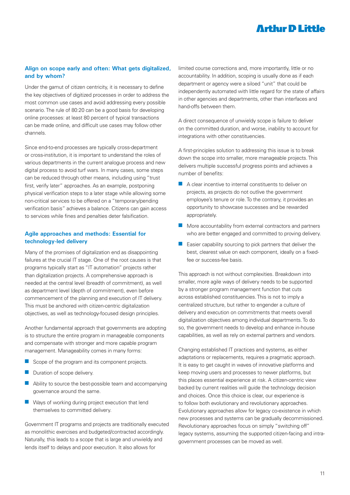### **Align on scope early and often: What gets digitalized, and by whom?**

Under the gamut of citizen centricity, it is necessary to define the key objectives of digitized processes in order to address the most common use cases and avoid addressing every possible scenario. The rule of 80:20 can be a good basis for developing online processes: at least 80 percent of typical transactions can be made online, and difficult use cases may follow other channels.

Since end-to-end processes are typically cross-department or cross-institution, it is important to understand the roles of various departments in the current analogue process and new digital process to avoid turf wars. In many cases, some steps can be reduced through other means, including using "trust first, verify later" approaches. As an example, postponing physical verification steps to a later stage while allowing some non-critical services to be offered on a "temporary/pending verification basis" achieves a balance. Citizens can gain access to services while fines and penalties deter falsification.

### **Agile approaches and methods: Essential for technology-led delivery**

Many of the promises of digitalization end as disappointing failures at the crucial IT stage. One of the root causes is that programs typically start as "IT automation" projects rather than digitalization projects. A comprehensive approach is needed at the central level (breadth of commitment), as well as department level (depth of commitment), even before commencement of the planning and execution of IT delivery. This must be anchored with citizen-centric digitalization objectives, as well as technology-focused design principles.

Another fundamental approach that governments are adopting is to structure the entire program in manageable components and compensate with stronger and more capable program management. Manageability comes in many forms:

- $\blacksquare$  Scope of the program and its component projects.
- **n** Duration of scope delivery.
- $\blacksquare$  Ability to source the best-possible team and accompanying governance around the same.
- $\blacksquare$  Ways of working during project execution that lend themselves to committed delivery.

Government IT programs and projects are traditionally executed as monolithic exercises and budgeted/contracted accordingly. Naturally, this leads to a scope that is large and unwieldy and lends itself to delays and poor execution. It also allows for

limited course corrections and, more importantly, little or no accountability. In addition, scoping is usually done as if each department or agency were a siloed "unit" that could be independently automated with little regard for the state of affairs in other agencies and departments, other than interfaces and hand-offs between them.

A direct consequence of unwieldy scope is failure to deliver on the committed duration, and worse, inability to account for integrations with other constituencies.

A first-principles solution to addressing this issue is to break down the scope into smaller, more manageable projects. This delivers multiple successful progress points and achieves a number of benefits:

- $\blacksquare$  A clear incentive to internal constituents to deliver on projects, as projects do not outlive the government employee's tenure or role. To the contrary, it provides an opportunity to showcase successes and be rewarded appropriately.
- $\blacksquare$  More accountability from external contractors and partners who are better engaged and committed to proving delivery.
- $\blacksquare$  Easier capability sourcing to pick partners that deliver the best, clearest value on each component, ideally on a fixedfee or success-fee basis.

This approach is not without complexities. Breakdown into smaller, more agile ways of delivery needs to be supported by a stronger program management function that cuts across established constituencies. This is not to imply a centralized structure, but rather to engender a culture of delivery and execution on commitments that meets overall digitalization objectives among individual departments. To do so, the government needs to develop and enhance in-house capabilities, as well as rely on external partners and vendors.

Changing established IT practices and systems, as either adaptations or replacements, requires a pragmatic approach. It is easy to get caught in waves of innovative platforms and keep moving users and processes to newer platforms, but this places essential experience at risk. A citizen-centric view backed by current realities will guide the technology decision and choices. Once this choice is clear, our experience is to follow both evolutionary and revolutionary approaches. Evolutionary approaches allow for legacy co-existence in which new processes and systems can be gradually decommissioned. Revolutionary approaches focus on simply "switching off" legacy systems, assuming the supported citizen-facing and intragovernment processes can be moved as well.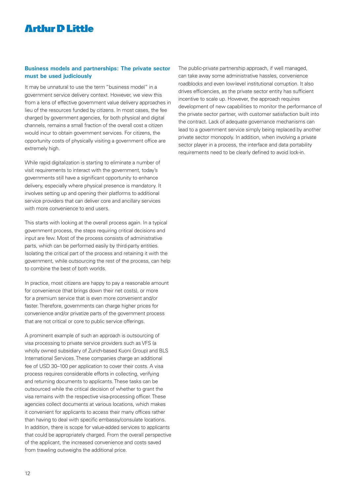### **Business models and partnerships: The private sector must be used judiciously**

It may be unnatural to use the term "business model" in a government service delivery context. However, we view this from a lens of effective government value delivery approaches in lieu of the resources funded by citizens. In most cases, the fee charged by government agencies, for both physical and digital channels, remains a small fraction of the overall cost a citizen would incur to obtain government services. For citizens, the opportunity costs of physically visiting a government office are extremely high.

While rapid digitalization is starting to eliminate a number of visit requirements to interact with the government, today's governments still have a significant opportunity to enhance delivery, especially where physical presence is mandatory. It involves setting up and opening their platforms to additional service providers that can deliver core and ancillary services with more convenience to end users.

This starts with looking at the overall process again. In a typical government process, the steps requiring critical decisions and input are few. Most of the process consists of administrative parts, which can be performed easily by third-party entities. Isolating the critical part of the process and retaining it with the government, while outsourcing the rest of the process, can help to combine the best of both worlds.

In practice, most citizens are happy to pay a reasonable amount for convenience (that brings down their net costs), or more for a premium service that is even more convenient and/or faster. Therefore, governments can charge higher prices for convenience and/or privatize parts of the government process that are not critical or core to public service offerings.

A prominent example of such an approach is outsourcing of visa processing to private service providers such as VFS (a wholly owned subsidiary of Zurich-based Kuoni Group) and BLS International Services. These companies charge an additional fee of USD 30–100 per application to cover their costs. A visa process requires considerable efforts in collecting, verifying and returning documents to applicants. These tasks can be outsourced while the critical decision of whether to grant the visa remains with the respective visa-processing officer. These agencies collect documents at various locations, which makes it convenient for applicants to access their many offices rather than having to deal with specific embassy/consulate locations. In addition, there is scope for value-added services to applicants that could be appropriately charged. From the overall perspective of the applicant, the increased convenience and costs saved from traveling outweighs the additional price.

The public-private partnership approach, if well managed, can take away some administrative hassles, convenience roadblocks and even low-level institutional corruption. It also drives efficiencies, as the private sector entity has sufficient incentive to scale up. However, the approach requires development of new capabilities to monitor the performance of the private sector partner, with customer satisfaction built into the contract. Lack of adequate governance mechanisms can lead to a government service simply being replaced by another private sector monopoly. In addition, when involving a private sector player in a process, the interface and data portability requirements need to be clearly defined to avoid lock-in.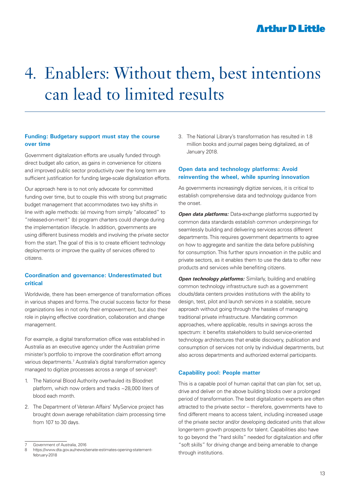# 4. Enablers: Without them, best intentions can lead to limited results

### **Funding: Budgetary support must stay the course over time**

Government digitalization efforts are usually funded through direct budget allo cation, as gains in convenience for citizens and improved public sector productivity over the long term are sufficient justification for funding large-scale digitalization efforts.

Our approach here is to not only advocate for committed funding over time, but to couple this with strong but pragmatic budget management that accommodates two key shifts in line with agile methods: (a) moving from simply "allocated" to "released-on-merit" (b) program charters could change during the implementation lifecycle. In addition, governments are using different business models and involving the private sector from the start. The goal of this is to create efficient technology deployments or improve the quality of services offered to citizens.

### **Coordination and governance: Underestimated but critical**

Worldwide, there has been emergence of transformation offices in various shapes and forms. The crucial success factor for these organizations lies in not only their empowerment, but also their role in playing effective coordination, collaboration and change management.

For example, a digital transformation office was established in Australia as an executive agency under the Australian prime minister's portfolio to improve the coordination effort among various departments.<sup>7</sup> Australia's digital transformation agency managed to digitize processes across a range of services<sup>8</sup>:

- 1. The National Blood Authority overhauled its Bloodnet platform, which now orders and tracks ~28,000 liters of blood each month.
- 2. The Department of Veteran Affairs' MyService project has brought down average rehabilitation claim processing time from 107 to 30 days.

3. The National Library's transformation has resulted in 1.8 million books and journal pages being digitalized, as of January 2018.

### **Open data and technology platforms: Avoid reinventing the wheel, while spurring innovation**

As governments increasingly digitize services, it is critical to establish comprehensive data and technology guidance from the onset.

*Open data platforms:* Data-exchange platforms supported by common data standards establish common underpinnings for seamlessly building and delivering services across different departments. This requires government departments to agree on how to aggregate and sanitize the data before publishing for consumption. This further spurs innovation in the public and private sectors, as it enables them to use the data to offer new products and services while benefiting citizens.

*Open technology platforms:* Similarly, building and enabling common technology infrastructure such as a government clouds/data centers provides institutions with the ability to design, test, pilot and launch services in a scalable, secure approach without going through the hassles of managing traditional private infrastructure. Mandating common approaches, where applicable, results in savings across the spectrum: it benefits stakeholders to build service-oriented technology architectures that enable discovery, publication and consumption of services not only by individual departments, but also across departments and authorized external participants.

### **Capability pool: People matter**

This is a capable pool of human capital that can plan for, set up, drive and deliver on the above building blocks over a prolonged period of transformation. The best digitalization experts are often attracted to the private sector – therefore, governments have to find different means to access talent, including increased usage of the private sector and/or developing dedicated units that allow longer-term growth prospects for talent. Capabilities also have to go beyond the "hard skills" needed for digitalization and offer "soft skills" for driving change and being amenable to change through institutions.

Government of Australia, 2016

<sup>8</sup> https://www.dta.gov.au/news/senate-estimates-opening-statementfebruary-2018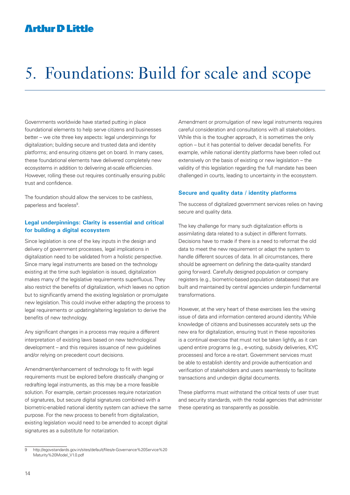# 5. Foundations: Build for scale and scope

Governments worldwide have started putting in place foundational elements to help serve citizens and businesses better – we cite three key aspects: legal underpinnings for digitalization; building secure and trusted data and identity platforms; and ensuring citizens get on board. In many cases, these foundational elements have delivered completely new ecosystems in addition to delivering at-scale efficiencies. However, rolling these out requires continually ensuring public trust and confidence.

The foundation should allow the services to be cashless, paperless and faceless<sup>9</sup>.

### **Legal underpinnings: Clarity is essential and critical for building a digital ecosystem**

Since legislation is one of the key inputs in the design and delivery of government processes, legal implications in digitalization need to be validated from a holistic perspective. Since many legal instruments are based on the technology existing at the time such legislation is issued, digitalization makes many of the legislative requirements superfluous. They also restrict the benefits of digitalization, which leaves no option but to significantly amend the existing legislation or promulgate new legislation. This could involve either adapting the process to legal requirements or updating/altering legislation to derive the benefits of new technology.

Any significant changes in a process may require a different interpretation of existing laws based on new technological development – and this requires issuance of new guidelines and/or relying on precedent court decisions.

Amendment/enhancement of technology to fit with legal requirements must be explored before drastically changing or redrafting legal instruments, as this may be a more feasible solution. For example, certain processes require notarization of signatures, but secure digital signatures combined with a biometric-enabled national identity system can achieve the same purpose. For the new process to benefit from digitalization, existing legislation would need to be amended to accept digital signatures as a substitute for notarization.

Amendment or promulgation of new legal instruments requires careful consideration and consultations with all stakeholders. While this is the tougher approach, it is sometimes the only option – but it has potential to deliver decadal benefits. For example, while national identity platforms have been rolled out extensively on the basis of existing or new legislation – the validity of this legislation regarding the full mandate has been challenged in courts, leading to uncertainty in the ecosystem.

### **Secure and quality data / identity platforms**

The success of digitalized government services relies on having secure and quality data.

The key challenge for many such digitalization efforts is assimilating data related to a subject in different formats. Decisions have to made if there is a need to reformat the old data to meet the new requirement or adapt the system to handle different sources of data. In all circumstances, there should be agreement on defining the data-quality standard going forward. Carefully designed population or company registers (e.g., biometric-based population databases) that are built and maintained by central agencies underpin fundamental transformations.

However, at the very heart of these exercises lies the vexing issue of data and information centered around identity. While knowledge of citizens and businesses accurately sets up the new era for digitalization, ensuring trust in these repositories is a continual exercise that must not be taken lightly, as it can upend entire programs (e.g., e-voting, subsidy deliveries, KYC processes) and force a re-start. Government services must be able to establish identity and provide authentication and verification of stakeholders and users seamlessly to facilitate transactions and underpin digital documents.

These platforms must withstand the critical tests of user trust and security standards, with the nodal agencies that administer these operating as transparently as possible.

<sup>9</sup> http://egovstandards.gov.in/sites/default/files/e-Governance%20Service%20 Maturity%20Model\_V1.0.pdf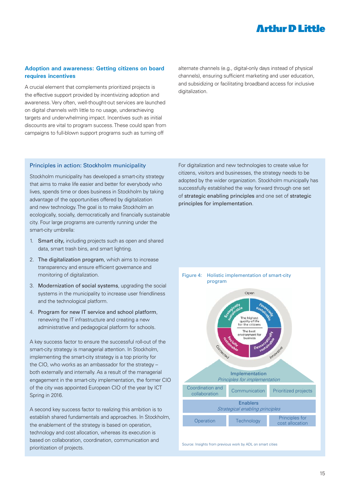### **Adoption and awareness: Getting citizens on board requires incentives**

A crucial element that complements prioritized projects is the effective support provided by incentivizing adoption and awareness. Very often, well-thought-out services are launched on digital channels with little to no usage, underachieving targets and underwhelming impact. Incentives such as initial discounts are vital to program success. These could span from campaigns to full-blown support programs such as turning off

alternate channels (e.g., digital-only days instead of physical channels), ensuring sufficient marketing and user education, and subsidizing or facilitating broadband access for inclusive digitalization.

### Principles in action: Stockholm municipality

Stockholm municipality has developed a smart-city strategy that aims to make life easier and better for everybody who lives, spends time or does business in Stockholm by taking advantage of the opportunities offered by digitalization and new technology. The goal is to make Stockholm an ecologically, socially, democratically and financially sustainable city. Four large programs are currently running under the smart-city umbrella:

- 1. Smart city, including projects such as open and shared data, smart trash bins, and smart lighting.
- 2. The digitalization program, which aims to increase transparency and ensure efficient governance and monitoring of digitalization.
- 3. Modernization of social systems, upgrading the social systems in the municipality to increase user friendliness and the technological platform.
- 4. Program for new IT service and school platform, renewing the IT infrastructure and creating a new administrative and pedagogical platform for schools.

A key success factor to ensure the successful roll-out of the smart-city strategy is managerial attention. In Stockholm, implementing the smart-city strategy is a top priority for the CIO, who works as an ambassador for the strategy – both externally and internally. As a result of the managerial engagement in the smart-city implementation, the former CIO of the city was appointed European CIO of the year by ICT Spring in 2016.

A second key success factor to realizing this ambition is to establish shared fundamentals and approaches. In Stockholm, the enablement of the strategy is based on operation, technology and cost allocation, whereas its execution is based on collaboration, coordination, communication and prioritization of projects.

For digitalization and new technologies to create value for citizens, visitors and businesses, the strategy needs to be adopted by the wider organization. Stockholm municipally has successfully established the way forward through one set of strategic enabling principles and one set of strategic principles for implementation.

Figure 4: Holistic implementation of smart-city program



Source: Insights from previous work by ADL on smart cities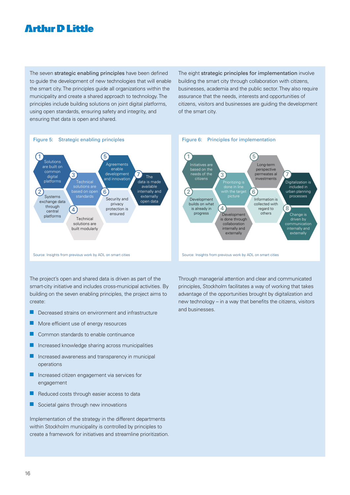The seven strategic enabling principles have been defined to guide the development of new technologies that will enable the smart city. The principles guide all organizations within the municipality and create a shared approach to technology. The principles include building solutions on joint digital platforms, using open standards, ensuring safety and integrity, and ensuring that data is open and shared.

The eight strategic principles for implementation involve building the smart city through collaboration with citizens, businesses, academia and the public sector. They also require assurance that the needs, interests and opportunities of citizens, visitors and businesses are guiding the development of the smart city.



The project's open and shared data is driven as part of the smart-city initiative and includes cross-municipal activities. By building on the seven enabling principles, the project aims to create:

- $\blacksquare$  Decreased strains on environment and infrastructure
- More efficient use of energy resources
- Common standards to enable continuance
- Increased knowledge sharing across municipalities
- Increased awareness and transparency in municipal operations
- $\blacksquare$  Increased citizen engagement via services for engagement
- Reduced costs through easier access to data
- Societal gains through new innovations

Implementation of the strategy in the different departments within Stockholm municipality is controlled by principles to create a framework for initiatives and streamline prioritization. Through managerial attention and clear and communicated principles, Stockholm facilitates a way of working that takes advantage of the opportunities brought by digitalization and new technology – in a way that benefits the citizens, visitors and businesses.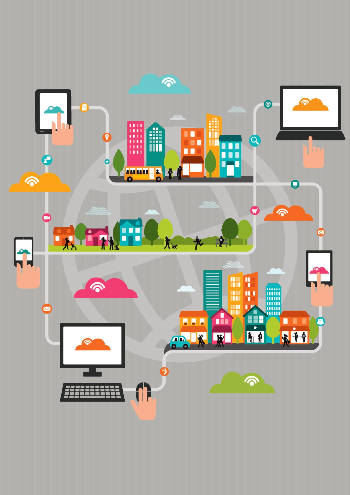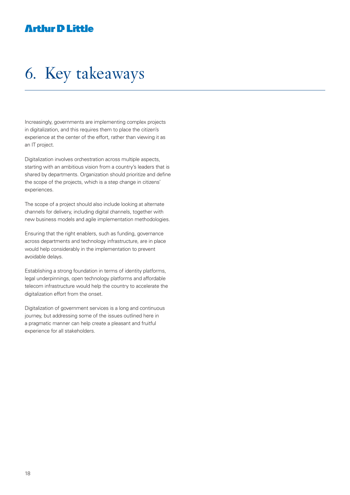## 6. Key takeaways

Increasingly, governments are implementing complex projects in digitalization, and this requires them to place the citizen's experience at the center of the effort, rather than viewing it as an IT project.

Digitalization involves orchestration across multiple aspects, starting with an ambitious vision from a country's leaders that is shared by departments. Organization should prioritize and define the scope of the projects, which is a step change in citizens' experiences.

The scope of a project should also include looking at alternate channels for delivery, including digital channels, together with new business models and agile implementation methodologies.

Ensuring that the right enablers, such as funding, governance across departments and technology infrastructure, are in place would help considerably in the implementation to prevent avoidable delays.

Establishing a strong foundation in terms of identity platforms, legal underpinnings, open technology platforms and affordable telecom infrastructure would help the country to accelerate the digitalization effort from the onset.

Digitalization of government services is a long and continuous journey, but addressing some of the issues outlined here in a pragmatic manner can help create a pleasant and fruitful experience for all stakeholders.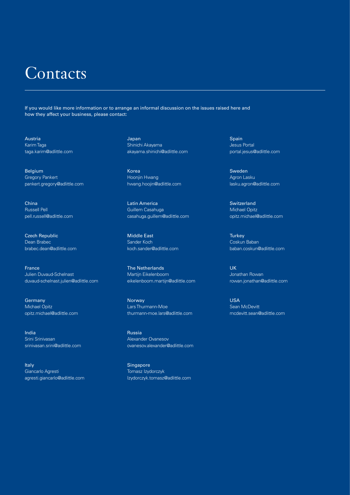## **Contacts**

If you would like more information or to arrange an informal discussion on the issues raised here and how they affect your business, please contact:

Austria Karim Taga taga.karim@adlittle.com

Belgium Gregory Pankert pankert.gregory@adlittle.com

China Russell Pell pell.russell@adlittle.com

Czech Republic Dean Brabec brabec.dean@adlittle.com

France Julien Duvaud-Schelnast duvaud-schelnast.julien@adlittle.com

Germany Michael Opitz opitz.michael@adlittle.com

India Srini Srinivasan srinivasan.srini@adlittle.com

Italy Giancarlo Agresti agresti.giancarlo@adlittle.com Japan Shinichi Akayama akayama.shinichi@adlittle.com

Korea Hoonjin Hwang hwang.hoojin@adlittle.com

Latin America Guillem Casahuga casahuga.guillem@adlittle.com

Middle East Sander Koch koch.sander@adlittle.com

The Netherlands Martijn Eikelenboom eikelenboom.martijn@adlittle.com

Norway Lars Thurmann-Moe thurmann-moe.lars@adlittle.com

Russia Alexander Ovanesov ovanesov.alexander@adlittle.com

Singapore Tomasz Izydorczyk Izydorczyk.tomasz@adlittle.com Spain Jesus Portal portal.jesus@adlittle.com

Sweden Agron Lasku lasku.agron@adlittle.com

Switzerland Michael Opitz opitz.michael@adlittle.com

**Turkey** Coskun Baban baban.coskun@adlittle.com

UK Jonathan Rowan rowan.jonathan@adlittle.com

USA Sean McDevitt mcdevitt.sean@adlittle.com